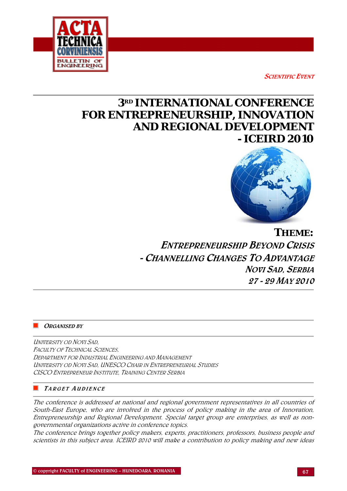**SCIENTIFIC EVENT** 



# *3RD INTERNATIONAL CONFERENCE FOR ENTREPRENEURSHIP, INNOVATION AND REGIONAL DEVELOPMENT - ICEIRD 2010*



*THEME:*  ENTREPRENEURSHIP BEYOND CRISIS - CHANNELLING CHANGES TO ADVANTAGE NOVI SAD, SERBIA 27 - 29 MAY 2010

# ORGANISED BY

UNIVERSITY OD NOVI SAD, FACULTY OF TECHNICAL SCIENCES. DEPARTMENT FOR INDUSTRIAL ENGINEERING AND MANAGEMENT UNIVERSITY OD NOVI SAD, UNESCO CHAIR IN ENTREPRENEURIAL STUDIES CISCO ENTREPRENEUR INSTITUTE, TRAINING CENTER SERBIA

# TARGET A UDIENCE

The conference is addressed at national and regional government representatives in all countries of South-East Europe, who are involved in the process of policy making in the area of Innovation, Entrepreneurship and Regional Development. Special target group are enterprises, as well as nongovernmental organizations active in conference topics.

The conference brings together policy makers, experts, practitioners, professors, business people and scientists in this subject area. ICEIRD 2010 will make a contribution to policy making and new ideas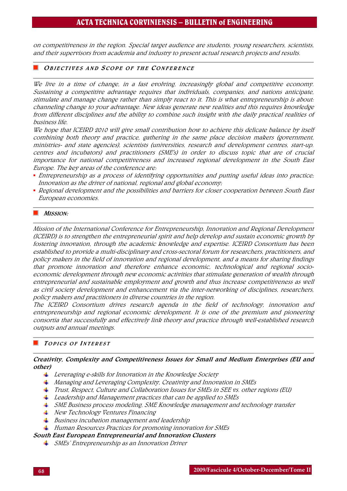on competitiveness in the region. Special target audience are students, young researchers, scientists, and their supervisors from academia and industry to present actual research projects and results.

#### **OBJECTIVES AND SCOPE OF THE CONFERENCE**

We live in a time of change, in a fast evolving, increasingly global and competitive economy. Sustaining a competitive advantage requires that individuals, companies, and nations anticipate, stimulate and manage change rather than simply react to it. This is what entrepreneurship is about: channeling change to your advantage. New ideas generate new realities and this requires knowledge from different disciplines and the ability to combine such insight with the daily practical realities of business life.

We hope that ICEIRD 2010 will give small contribution how to achieve this delicate balance by itself combining both theory and practice, gathering in the same place decision makers (government, ministries- and state agencies), scientists (universities, research and development centres, start-up. centres and incubators) and practitioners (SME's) in order to discuss topic that are of crucial importance for national competitiveness and increased regional development in the South East Europe. The key areas of the conference are:

- Entrepreneurship as a process of identifying opportunities and putting useful ideas into practice; Innovation as the driver of national, regional and global economy;
- Regional development and the possibilities and barriers for closer cooperation between South East European economies.

#### MISSION:

Mission of the International Conference for Entrepreneurship, Innovation and Regional Development (ICEIRD) is to strengthen the entrepreneurial spirit and help develop and sustain economic growth by fostering innovation, through the academic knowledge and expertise. ICEIRD Consortium has been established to provide a multi-disciplinary and cross-sectoral forum for researchers, practitioners, and policy makers in the field of innovation and regional development, and a means for sharing findings that promote innovation and therefore enhance economic, technological and regional socioeconomic development through new economic activities that stimulate generation of wealth through entrepreneurial and sustainable employment and growth and thus increase competitiveness as well as civil society development and enhancement via the inter-networking of disciplines, researchers, policy makers and practitioners in diverse countries in the region.

The ICEIRD Consortium drives research agenda in the field of technology, innovation and entrepreneurship and regional economic development. It is one of the premium and pioneering consortia that successfully and effectively link theory and practice through well-established research outputs and annual meetings.

#### TOPICS OF INTEREST

#### Creativity, Complexity and Competitiveness Issues for Small and Medium Enterprises (EU and other)

- $\perp$  Leveraging e-skills for Innovation in the Knowledge Society
- Managing and Leveraging Complexity, Creativity and Innovation in SMEs
- Trust, Respect, Culture and Collaboration Issues for SMEs in SEE vs. other regions (EU)
- $\perp$  Leadership and Management practices that can be applied to SMEs
- SME Business process modeling, SME Knowledge management and technology transfer
- **New Technology Ventures Financing**
- $\frac{1}{2}$  Business incubation management and leadership
- $\ddotplus$  Human Resources Practices for promoting innovation for SMEs

#### South East European Entrepreneurial and Innovation Clusters

 $\frac{1}{\sqrt{2}}$  SMEs' Entrepreneurship as an Innovation Driver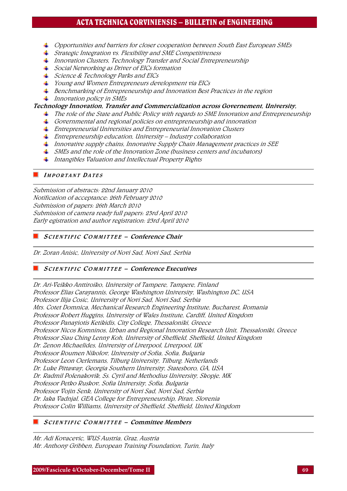- $\,\blacktriangleq\,$  Opportunities and barriers for closer cooperation between South East European SMEs
- $\frac{1}{\sqrt{2}}$  Strategic Integration vs. Flexibility and SME Competitiveness
- Innovation Clusters, Technology Transfer and Social Entrepreneurship
- Social Networking as Driver of EICs formation
- $\frac{1}{\sqrt{2}}$  Science & Technology Parks and EICs
- $\frac{1}{2}$  Young and Women Entrepreneurs development via EICs
- Benchmarking of Entrepreneurship and Innovation Best Practices in the region
- $\frac{1}{2}$  Innovation policy in SMEs

#### Technology Innovation, Transfer and Commercialization across Governement, University,

- The role of the State and Public Policy with regards to SME Innovation and Entrepreneurship
- Governmental and regional policies on entrepreneurship and innovation
- $\frac{1}{\sqrt{2}}$  Entrepreneurial Universities and Entrepreneurial Innovation Clusters
- $\pm$  Entrepreneurship education, University Industry collaboration
- $\perp$  Innovative supply chains, Innovative Supply Chain Management practices in SEE
- $\frac{1}{\sqrt{2}}$  SMEs and the role of the Innovation Zone (business centers and incubators)
- </del> Intangibles Valuation and Intellectual Property Rights

#### **IMPORTANT DATES**

Submission of abstracts: 22nd January 2010 Notification of acceptance: 26th February 2010 Submission of papers: 26th March 2010 Submission of camera ready full papers: 23rd April 2010 Early egistration and author registration: 23rd April 2010

# SCIENTIFIC COMMITTEE – Conference Chair

Dr. Zoran Anisic, University of Novi Sad, Novi Sad, Serbia

# SCIENTIFIC COMMITTEE – Conference Executives

Dr. Ari-Veikko Anttiroiko, [University of Tampere, Tampere, Finland](http://www.uta.fi/%7Ekuaran/)  Professor Elias Carayannis, [George Washington University, Washington DC, USA](http://www.shopsprite.net/clients/gwu/results.shtml?FilterText=Carayannis&FilterField=CID_13&FilterOption=C&LID=11&PID=0B6CAC1C6DB6B413F188B31DB16B65FF&sort=&dir=u&SID=&LOGIN=1&lastsort=S_Date&Filter=Submit)  Professor Ilija Cosic, [University of Novi Sad, Novi Sad, Serbia](http://www.ftn.ns.ac.yu/)  Mrs. Cotet Domnica, [Mechanical Research Engineering Institute, Bucharest, Romania](http://www.ictcm.ro/meniu.html)  Professor Robert Huggins, [University of Wales Institute, Cardiff, United Kingdom](http://www2.uwic.ac.uk/News/Archive/News2007/December/121207management.htm)  Professor Panayiotis Ketikidis, [City College, Thessaloniki, Greece](http://www.iceird.org/index.php?option=com_content&task=view&id=55&Itemid=49##)  Professor Nicos Komninos, [Urban and Regional Innovation Research Unit, Thessaloniki, Greece](http://www.urenio.org/people/)  Professor Siau Ching Lenny Koh, [University of Sheffield, Sheffield, United Kingdom](http://www.shef.ac.uk/management/staff/profile/koh.html)  Dr. Zenon Michaelides, [University of Liverpool, Liverpool, UK](http://tulip.liv.ac.uk/portal/pls/portal/tulwwwmerge.mergepage?p_template=ulms&p_tulipproc=staff&p_params=%3Fp_func%3Dteldir%26p_hash%3DA705670%26p_url%3DBL%26p_template%3Dulms)  Professor Roumen Nikolov, [University of Sofia, Sofia, Bulgaria](http://www-it.fmi.uni-sofia.bg/aboutus/roumen/right.html)  Professor Leon Oerlemans, [Tilburg University, Tilburg, Netherlands](http://www.tilburguniversity.nl/webwijs/show/?anr=371955)  Dr. Luke Pittaway, [Georgia Southern University, Statesboro, GA, USA](http://coba.georgiasouthern.edu/)  Dr. Radmil Polenakovik, [Ss. Cyril and Methodius University, Skopje, MK](http://www.ukim.edu.mk/index.php?lan=en)  Professor Petko Ruskov, [Sofia University, Sofia, Bulgaria](http://www.fmi.uni-sofia.bg/en/lecturers/cs/petkor)  Professor Vojin Senk, [University of Novi Sad, Novi Sad, Serbia](http://www.ftn.ns.ac.yu/)  Dr. Jaka Vadnjal, [GEA College for Entrepreneurship, Piran, Slovenia](http://www.gea-college.si/404.html)  Professor Colin Williams, [University of Sheffield, Sheffield, United Kingdom](http://www.iceird.org/v) 

# SCIENTIFIC COMMITTEE – Committee Members

Mr. Adi Kovacevic, WUS Austria, Graz, Austria Mr. Anthony Gribben, European Training Foundation, Turin, Italy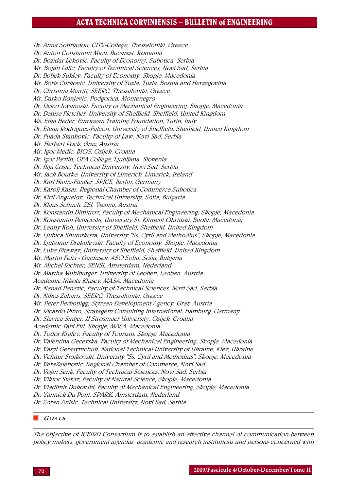Dr. Anna Sotiriadou, CITY-College, Thessaloniki, Greece Dr. Anton Constantin Micu, Bucarest, Romania Dr. Bozidar Lekovic, Faculty of Economy, Subotica, Serbia Mr. Bojan Lalic, Faculty of Technical Sciences, Novi Sad, Serbia Dr. Bobek Suklev, Faculty of Economy, Skopje, Macedonia Mr. Boris Curkovic, University of Tuzla, Tuzla, Bosnia and Herzegovina Dr. Christina Miariti, SEERC, Thessaloniki, Greece Mr. Darko Konjevic, Podgorica, Montenegro Dr. Delco Jovanoski, Faculty of Mechanical Engineering, Skopje, Macedonia Dr. Denise Fletcher, University of Sheffield, Sheffield, United Kingdom Ms. Efka Heder, European Training Foundation, Turin, Italy Dr. Elena Rodriguez-Falcon, University of Sheffield, Sheffield, United Kingdom Dr. Fuada Stankovic, Faculty of Law, Novi Sad, Serbia Mr. Herbert Pock, Graz, Austria Mr. Igor Medic, BIOS, Osijek, Croatia Dr. Igor Pavlin, GEA College, Ljubljana, Slovenia Dr. Ilija Cosic, Technical University, Novi Sad, Serbia Mr. Jack Bourke, University of Limerick, Limerick, Ireland Dr. Karl Hainz-Fiedler, SPICE, Berlin, Germany Dr. Karolj Kasas, Regional Chamber of Commerce,Subotica Dr. Kiril Anguelov, Technical University, Sofia, Bulgaria Dr. Klaus Schuch, ZSI, Vienna, Austria Dr. Konstantin Dimitrov, Faculty of Mechanical Engineering, Skopje, Macedonia Dr. Konstantin Petkovski, University St. Kliment Ohridski, Bitola, Macedonia Dr. Lenny Koh, University of Sheffield, Sheffield, United Kingdom Dr. Ljubica Shuturkova, University "Ss. Cyril and Methodius", Skopje, Macedonia Dr. Ljubomir Drakulevski, Faculty of Economy, Skopje, Macedonia Dr. Luke Pitaway, University of Sheffield, Sheffield, United Kingdom Mr. Martin Felix - Gajdusek, ASO Sofia, Sofia, Bulgaria Mr. Michel Richter, SENSI, Amsterdam, Nederland Dr. Martha Muhlburger, University of Leoben, Leoben, Austria Academic Nikola Klusev, MASA, Macedonia Dr. Nenad Penezic, Faculty of Technical Sciences, Novi Sad, Serbia Dr. Nikos Zaharis, SEERC, Thessaloniki, Greece Mr. Peter Perkonigg, Styrean Development Agency, Graz, Austria Dr. Ricardo Pinto, Stratagem Consulting International, Hamburg, Germany Dr. Slavica Singer, JJ Strosmaer University, Osijek, Croatia Academic Taki Fiti, Skopje, MASA, Macedonia Dr. Todor Kralev, Faculty of Tourism, Skopje, Macedonia Dr. Valentina Gecevska, Faculty of Mechanical Engineering, Skopje, Macedonia Dr. Vasyl Gerasymchuk, National Technical University of Ukraine, Kiev, Ukraine Dr. Velimir Stojkovski, University "Ss. Cyril and Methodius", Skopje, Macedonia Dr. VeraZelenovic, Regional Chamber of Commerce, Novi Sad Dr. Vojin Senk, Faculty of Technical Sciences, Novi Sad, Serbia Dr. Viktor Stefov, Faculty of Natural Science, Skopje, Macedonia Dr. Vladimir Dukovski, Faculty of Mechanical Engineering, Skopje, Macedonia Dr. Yannick Du Pont, SPARK, Amsterdam, Nederland Dr. Zoran Anisic, Technical University, Novi Sad, Serbia

### G OALS

The objective of ICEIRD Consortium is to establish an effective channel of communication between policy makers, government agendas, academic and research institutions and persons concerned with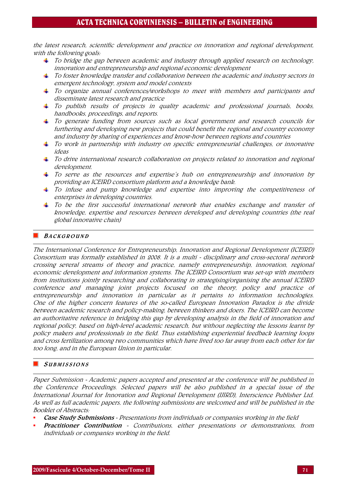the latest research, scientific development and practice on innovation and regional development, with the following goals:

- $\ddag$  To bridge the gap between academic and industry through applied research on technology, innovation and entrepreneurship and regional economic development
- $\ddag$  To foster knowledge transfer and collaboration between the academic and industry sectors in emergent technology, system and model contexts
- $\Box$  To organize annual conferences/workshops to meet with members and participants and disseminate latest research and practice
- $\pm$  To publish results of projects in quality academic and professional journals, books, handbooks, proceedings, and reports.
- $\ddagger$  To generate funding from sources such as local government and research councils for furthering and developing new projects that could benefit the regional and country economy and industry by sharing of experiences and know-how between regions and countries
- $\pm$  To work in partnership with industry on specific entrepreneurial challenges, or innovative ideas
- $\pm$  To drive international research collaboration on projects related to innovation and regional development.
- $\ddot{\bullet}$  To serve as the resources and expertise's hub on entrepreneurship and innovation by providing an ICEIRD consortium platform and a knowledge bank.
- $\ddot{\bullet}$  To infuse and pump knowledge and expertise into improving the competitiveness of enterprises in developing countries.
- $\pm$  To be the first successful international network that enables exchange and transfer of knowledge, expertise and resources between developed and developing countries (the real global innovative chain)

# **BACKGROUND**

The International Conference for Entrepreneurship, Innovation and Regional Development (ICEIRD) Consortium was formally established in 2008. It is a multi - disciplinary and cross-sectoral network crossing several streams of theory and practice, namely entrepreneurship, innovation, regional economic development and information systems. The ICEIRD Consortium was set-up with members from institutions jointly researching and collaborating in strategising/organising the annual ICEIRD conference and managing joint projects focused on the theory, policy and practice of entrepreneurship and innovation in particular as it pertains to information technologies. One of the higher concern features of the so-called European Innovation Paradox is the divide between academic research and policy-making, between thinkers and doers. The ICEIRD can become an authoritative reference in bridging this gap by developing analysis in the field of innovation and regional policy, based on high-level academic research, but without neglecting the lessons learnt by policy makers and professionals in the field. Thus establishing experiential feedback learning loops and cross fertilization among two communities which have lived too far away from each other for far too long, and in the European Union in particular.

# **SUBMISSIONS**

Paper Submission - Academic papers accepted and presented at the conference will be published in the Conference Proceedings. Selected papers will be also published in a special issue of the International Journal for Innovation and Regional Development (IJIRD), Interscience Publisher Ltd. As well as full academic papers, the following submissions are welcomed and will be published in the Booklet of Abstracts:

- Case Study Submissions Presentations from individuals or companies working in the field
- **Practitioner Contribution** Contributions, either presentations or demonstrations, from individuals or companies working in the field.